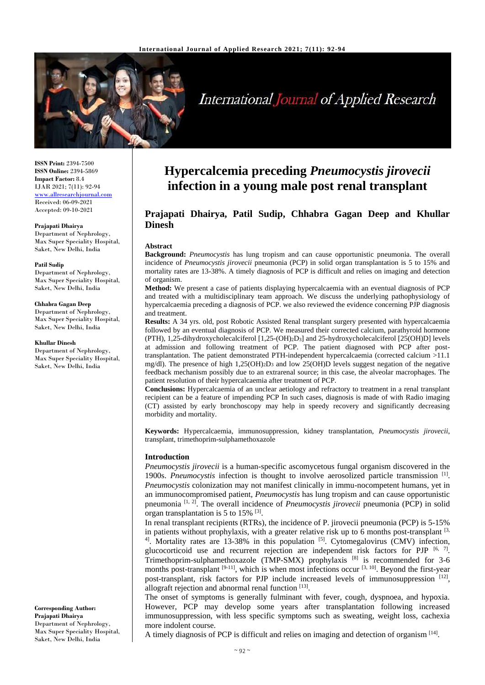

# International Journal of Applied Research

**ISSN Print:** 2394-7500 **ISSN Online:** 2394-5869 **Impact Factor:** 8.4 IJAR 2021; 7(11): 92-94 <www.allresearchjournal.com> Received: 06-09-2021 Accepted: 09-10-2021

#### **Prajapati Dhairya**

Department of Nephrology, Max Super Speciality Hospital, Saket, New Delhi, India

#### **Patil Sudip**

Department of Nephrology, Max Super Speciality Hospital, Saket, New Delhi, India

#### **Chhabra Gagan Deep**

Department of Nephrology, Max Super Speciality Hospital, Saket, New Delhi, India

#### **Khullar Dinesh**

Department of Nephrology, Max Super Speciality Hospital, Saket, New Delhi, India

**Corresponding Author: Prajapati Dhairya**  Department of Nephrology, Max Super Speciality Hospital, Saket, New Delhi, India

## **Hypercalcemia preceding** *Pneumocystis jirovecii* **infection in a young male post renal transplant**

### **Prajapati Dhairya, Patil Sudip, Chhabra Gagan Deep and Khullar Dinesh**

#### **Abstract**

**Background:** *Pneumocystis* has lung tropism and can cause opportunistic pneumonia. The overall incidence of *Pneumocystis jirovecii* pneumonia (PCP) in solid organ transplantation is 5 to 15% and mortality rates are 13-38%. A timely diagnosis of PCP is difficult and relies on imaging and detection of organism.

**Method:** We present a case of patients displaying hypercalcaemia with an eventual diagnosis of PCP and treated with a multidisciplinary team approach. We discuss the underlying pathophysiology of hypercalcaemia preceding a diagnosis of PCP. we also reviewed the evidence concerning PJP diagnosis and treatment.

**Results:** A 34 yrs. old, post Robotic Assisted Renal transplant surgery presented with hypercalcaemia followed by an eventual diagnosis of PCP. We measured their corrected calcium, parathyroid hormone (PTH), 1,25-dihydroxycholecalciferol [1,25-(OH)2D3] and 25-hydroxycholecalciferol [25(OH)D] levels at admission and following treatment of PCP. The patient diagnosed with PCP after posttransplantation. The patient demonstrated PTH-independent hypercalcaemia (corrected calcium >11.1 mg/dl). The presence of high  $1,25(OH)2D_3$  and low  $25(OH)D$  levels suggest negation of the negative feedback mechanism possibly due to an extrarenal source; in this case, the alveolar macrophages. The patient resolution of their hypercalcaemia after treatment of PCP.

**Conclusions:** Hypercalcaemia of an unclear aetiology and refractory to treatment in a renal transplant recipient can be a feature of impending PCP In such cases, diagnosis is made of with Radio imaging (CT) assisted by early bronchoscopy may help in speedy recovery and significantly decreasing morbidity and mortality.

**Keywords:** Hypercalcaemia, immunosuppression, kidney transplantation, *Pneumocystis jirovecii*, transplant, trimethoprim-sulphamethoxazole

#### **Introduction**

*Pneumocystis jirovecii* is a human-specific ascomycetous fungal organism discovered in the 1900s. *Pneumocystis* infection is thought to involve aerosolized particle transmission <sup>[1]</sup>. *Pneumocystis* colonization may not manifest clinically in immu-nocompetent humans, yet in an immunocompromised patient, *Pneumocystis* has lung tropism and can cause opportunistic pneumonia [1, 2]. The overall incidence of *Pneumocystis jirovecii* pneumonia (PCP) in solid organ transplantation is 5 to 15% [3].

In renal transplant recipients (RTRs), the incidence of P. jirovecii pneumonia (PCP) is 5-15% in patients without prophylaxis, with a greater relative risk up to 6 months post-transplant  $[3, 3]$ <sup>4]</sup>. Mortality rates are 13-38% in this population  $[5]$ . Cytomegalovirus (CMV) infection, glucocorticoid use and recurrent rejection are independent risk factors for PJP  $[6, 7]$ . Trimethoprim-sulphamethoxazole (TMP-SMX) prophylaxis [8] is recommended for 3-6 months post-transplant  $[9-11]$ , which is when most infections occur  $[3, 10]$ . Beyond the first-year post-transplant, risk factors for PJP include increased levels of immunosuppression [12], allograft rejection and abnormal renal function [13].

The onset of symptoms is generally fulminant with fever, cough, dyspnoea, and hypoxia. However, PCP may develop some years after transplantation following increased immunosuppression, with less specific symptoms such as sweating, weight loss, cachexia more indolent course.

A timely diagnosis of PCP is difficult and relies on imaging and detection of organism [14].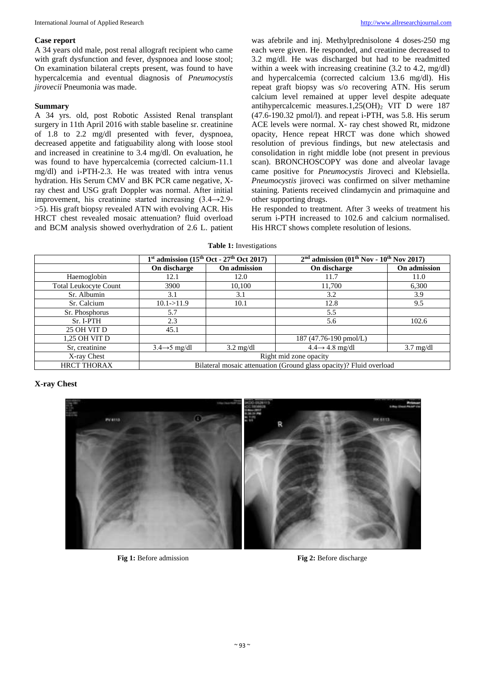#### **Case report**

A 34 years old male, post renal allograft recipient who came with graft dysfunction and fever, dyspnoea and loose stool: On examination bilateral crepts present, was found to have hypercalcemia and eventual diagnosis of *Pneumocystis jirovecii* Pneumonia was made.

#### **Summary**

A 34 yrs. old, post Robotic Assisted Renal transplant surgery in 11th April 2016 with stable baseline sr. creatinine of 1.8 to 2.2 mg/dl presented with fever, dyspnoea, decreased appetite and fatiguability along with loose stool and increased in creatinine to 3.4 mg/dl. On evaluation, he was found to have hypercalcemia (corrected calcium-11.1 mg/dl) and i-PTH-2.3. He was treated with intra venus hydration. His Serum CMV and BK PCR came negative, Xray chest and USG graft Doppler was normal. After initial improvement, his creatinine started increasing (3.4→2.9- >5). His graft biopsy revealed ATN with evolving ACR. His HRCT chest revealed mosaic attenuation? fluid overload and BCM analysis showed overhydration of 2.6 L. patient

was afebrile and inj. Methylprednisolone 4 doses-250 mg each were given. He responded, and creatinine decreased to 3.2 mg/dl. He was discharged but had to be readmitted within a week with increasing creatinine (3.2 to 4.2, mg/dl) and hypercalcemia (corrected calcium 13.6 mg/dl). His repeat graft biopsy was s/o recovering ATN. His serum calcium level remained at upper level despite adequate antihypercalcemic measures.1,25(OH)<sub>2</sub> VIT D were 187 (47.6-190.32 pmol/l). and repeat i-PTH, was 5.8. His serum ACE levels were normal. X- ray chest showed Rt, midzone opacity, Hence repeat HRCT was done which showed resolution of previous findings, but new atelectasis and consolidation in right middle lobe (not present in previous scan). BRONCHOSCOPY was done and alveolar lavage came positive for *Pneumocystis* Jiroveci and Klebsiella. *Pneumocystis* jiroveci was confirmed on silver methamine staining. Patients received clindamycin and primaquine and other supporting drugs.

He responded to treatment. After 3 weeks of treatment his serum i-PTH increased to 102.6 and calcium normalised. His HRCT shows complete resolution of lesions.

#### **Table 1:** Investigations

|                              | $1st$ admission ( $15th$ Oct - $27th$ Oct 2017)                     |                     | $2nd$ admission (01 <sup>th</sup> Nov - 10 <sup>th</sup> Nov 2017) |                     |
|------------------------------|---------------------------------------------------------------------|---------------------|--------------------------------------------------------------------|---------------------|
|                              | On discharge                                                        | On admission        | On discharge                                                       | On admission        |
| Haemoglobin                  | 12.1                                                                | 12.0                | 11.7                                                               | 11.0                |
| <b>Total Leukocyte Count</b> | 3900                                                                | 10,100              | 11,700                                                             | 6,300               |
| Sr. Albumin                  | 3.1                                                                 | 3.1                 | 3.2                                                                | 3.9                 |
| Sr. Calcium                  | 10.1 > 11.9                                                         | 10.1                | 12.8                                                               | 9.5                 |
| Sr. Phosphorus               | 5.7                                                                 |                     | 5.5                                                                |                     |
| Sr. I-PTH                    | 2.3                                                                 |                     | 5.6                                                                | 102.6               |
| 25 OH VIT D                  | 45.1                                                                |                     |                                                                    |                     |
| 1,25 OH VIT D                |                                                                     |                     | 187 (47.76-190 pmol/L)                                             |                     |
| Sr, creatinine               | $3.4 \rightarrow 5$ mg/dl                                           | $3.2 \text{ mg/dl}$ | $4.4 \rightarrow 4.8$ mg/dl                                        | $3.7 \text{ mg/dl}$ |
| X-ray Chest                  | Right mid zone opacity                                              |                     |                                                                    |                     |
| <b>HRCT THORAX</b>           | Bilateral mosaic attenuation (Ground glass opacity)? Fluid overload |                     |                                                                    |                     |

**X-ray Chest**



Fig 1: Before admission **Fig 2:** Before discharge